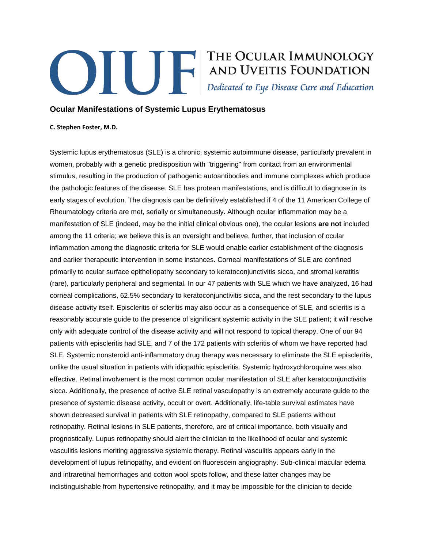## **Example 19 THE OCULAR IMMUNOLOGY<br>AND UVEITIS FOUNDATION**<br>Dedicated to Eye Disease Cure and Education

## **Ocular Manifestations of Systemic Lupus Erythematosus**

## **C. Stephen Foster, M.D.**

Systemic lupus erythematosus (SLE) is a chronic, systemic autoimmune disease, particularly prevalent in women, probably with a genetic predisposition with "triggering" from contact from an environmental stimulus, resulting in the production of pathogenic autoantibodies and immune complexes which produce the pathologic features of the disease. SLE has protean manifestations, and is difficult to diagnose in its early stages of evolution. The diagnosis can be definitively established if 4 of the 11 American College of Rheumatology criteria are met, serially or simultaneously. Although ocular inflammation may be a manifestation of SLE (indeed, may be the initial clinical obvious one), the ocular lesions **are not** included among the 11 criteria; we believe this is an oversight and believe, further, that inclusion of ocular inflammation among the diagnostic criteria for SLE would enable earlier establishment of the diagnosis and earlier therapeutic intervention in some instances. Corneal manifestations of SLE are confined primarily to ocular surface epitheliopathy secondary to keratoconjunctivitis sicca, and stromal keratitis (rare), particularly peripheral and segmental. In our 47 patients with SLE which we have analyzed, 16 had corneal complications, 62.5% secondary to keratoconjunctivitis sicca, and the rest secondary to the lupus disease activity itself. Episcleritis or scleritis may also occur as a consequence of SLE, and scleritis is a reasonably accurate guide to the presence of significant systemic activity in the SLE patient; it will resolve only with adequate control of the disease activity and will not respond to topical therapy. One of our 94 patients with episcleritis had SLE, and 7 of the 172 patients with scleritis of whom we have reported had SLE. Systemic nonsteroid anti-inflammatory drug therapy was necessary to eliminate the SLE episcleritis, unlike the usual situation in patients with idiopathic episcleritis. Systemic hydroxychloroquine was also effective. Retinal involvement is the most common ocular manifestation of SLE after keratoconjunctivitis sicca. Additionally, the presence of active SLE retinal vasculopathy is an extremely accurate guide to the presence of systemic disease activity, occult or overt. Additionally, life-table survival estimates have shown decreased survival in patients with SLE retinopathy, compared to SLE patients without retinopathy. Retinal lesions in SLE patients, therefore, are of critical importance, both visually and prognostically. Lupus retinopathy should alert the clinician to the likelihood of ocular and systemic vasculitis lesions meriting aggressive systemic therapy. Retinal vasculitis appears early in the development of lupus retinopathy, and evident on fluorescein angiography. Sub-clinical macular edema and intraretinal hemorrhages and cotton wool spots follow, and these latter changes may be indistinguishable from hypertensive retinopathy, and it may be impossible for the clinician to decide